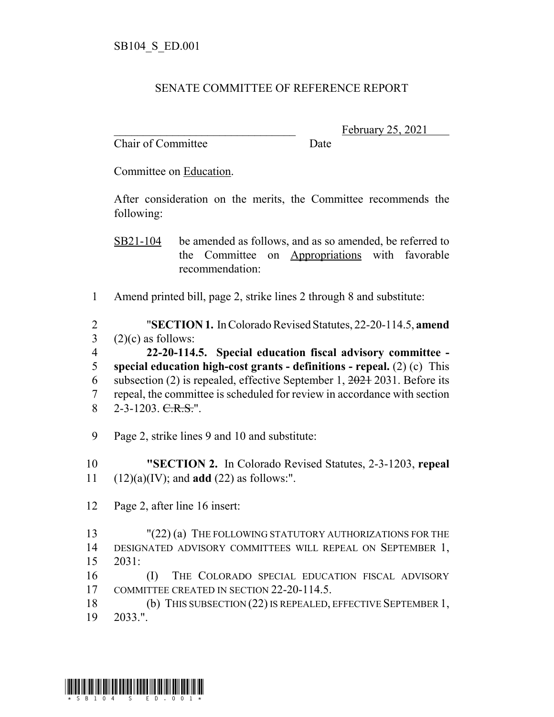## SENATE COMMITTEE OF REFERENCE REPORT

Chair of Committee Date

February 25, 2021

Committee on Education.

After consideration on the merits, the Committee recommends the following:

SB21-104 be amended as follows, and as so amended, be referred to the Committee on Appropriations with favorable recommendation:

1 Amend printed bill, page 2, strike lines 2 through 8 and substitute:

2 "**SECTION 1.** In Colorado Revised Statutes, 22-20-114.5, **amend**  $3$  (2)(c) as follows:

 **22-20-114.5. Special education fiscal advisory committee - special education high-cost grants - definitions - repeal.** (2) (c) This 6 subsection (2) is repealed, effective September 1,  $\frac{2021}{2031}$ . Before its repeal, the committee is scheduled for review in accordance with section 2-3-1203. C.R.S.".

- 9 Page 2, strike lines 9 and 10 and substitute:
- 10 **"SECTION 2.** In Colorado Revised Statutes, 2-3-1203, **repeal** 11 (12)(a)(IV); and **add** (22) as follows:".
- 12 Page 2, after line 16 insert:

13 "(22) (a) THE FOLLOWING STATUTORY AUTHORIZATIONS FOR THE 14 DESIGNATED ADVISORY COMMITTEES WILL REPEAL ON SEPTEMBER 1, 15 2031:

16 (I) THE COLORADO SPECIAL EDUCATION FISCAL ADVISORY 17 COMMITTEE CREATED IN SECTION 22-20-114.5.

18 (b) THIS SUBSECTION (22) IS REPEALED, EFFECTIVE SEPTEMBER 1, 19 2033.".